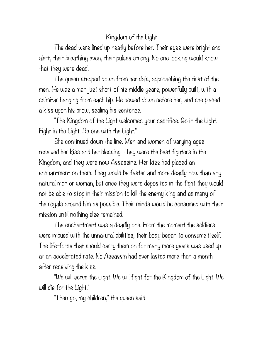## Kingdom of the Light

The dead were lined up neatly before her. Their eyes were bright and alert, their breathing even, their pulses strong. No one looking would know that they were dead.

The queen stepped down from her dais, approaching the first of the men. He was a man just short of his middle years, powerfully built, with a scimitar hanging from each hip. He bowed down before her, and she placed a kiss upon his brow, sealing his sentence.

"The Kingdom of the Light welcomes your sacrifice. Go in the Light. Fight in the Light. Be one with the Light."

She continued down the line. Men and women of varying ages received her kiss and her blessing. They were the best fighters in the Kingdom, and they were now Assassins. Her kiss had placed an enchantment on them. They would be faster and more deadly now than any natural man or woman, but once they were deposited in the fight they would not be able to stop in their mission to kill the enemy king and as many of the royals around him as possible. Their minds would be consumed with their mission until nothing else remained.

The enchantment was a deadly one. From the moment the soldiers were imbued with the unnatural abilities, their body began to consume itself. The life-force that should carry them on for many more years was used up at an accelerated rate. No Assassin had ever lasted more than a month after receiving the kiss.

"We will serve the Light. We will fight for the Kingdom of the Light. We will die for the Light."

"Then go, my children," the queen said.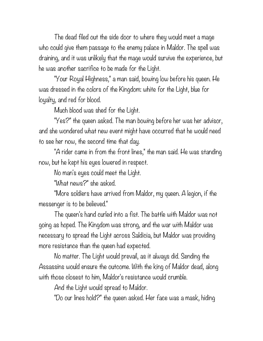The dead filed out the side door to where they would meet a mage who could give them passage to the enemy palace in Maldor. The spell was draining, and it was unlikely that the mage would survive the experience, but he was another sacrifice to be made for the Light.

"Your Royal Highness," a man said, bowing low before his queen. He was dressed in the colors of the Kingdom: white for the Light, blue for loyalty, and red for blood.

Much blood was shed for the Light.

"Yes?" the queen asked. The man bowing before her was her advisor, and she wondered what new event might have occurred that he would need to see her now, the second time that day.

"A rider came in from the front lines," the man said. He was standing now, but he kept his eyes lowered in respect.

No man's eyes could meet the Light.

"What news?" she asked.

"More soldiers have arrived from Maldor, my queen. A legion, if the messenger is to be believed."

The queen's hand curled into a fist. The battle with Maldor was not going as hoped. The Kingdom was strong, and the war with Maldor was necessary to spread the Light across Saldicia, but Maldor was providing more resistance than the queen had expected.

No matter. The Light would prevail, as it always did. Sending the Assassins would ensure the outcome. With the king of Maldor dead, along with those closest to him, Maldor's resistance would crumble.

And the Light would spread to Maldor.

"Do our lines hold?" the queen asked. Her face was a mask, hiding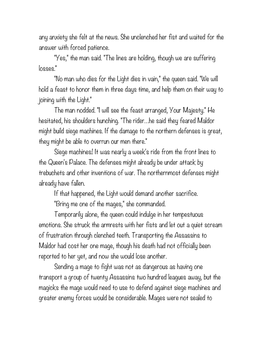any anxiety she felt at the news. She unclenched her fist and waited for the answer with forced patience.

"Yes," the man said. "The lines are holding, though we are suffering losses."

"No man who dies for the Light dies in vain," the queen said. "We will hold a feast to honor them in three days time, and help them on their way to joining with the Light."

The man nodded. "I will see the feast arranged, Your Majesty." He hesitated, his shoulders hunching. "The rider…he said they feared Maldor might build siege machines. If the damage to the northern defenses is great, they might be able to overrun our men there."

Siege machines! It was nearly a week's ride from the front lines to the Queen's Palace. The defenses might already be under attack by trebuchets and other inventions of war. The northernmost defenses might already have fallen.

If that happened, the Light would demand another sacrifice.

"Bring me one of the mages," she commanded.

Temporarily alone, the queen could indulge in her tempestuous emotions. She struck the armrests with her fists and let out a quiet scream of frustration through clenched teeth. Transporting the Assassins to Maldor had cost her one mage, though his death had not officially been reported to her yet, and now she would lose another.

Sending a mage to fight was not as dangerous as having one transport a group of twenty Assassins two hundred leagues away, but the magicks the mage would need to use to defend against siege machines and greater enemy forces would be considerable. Mages were not sealed to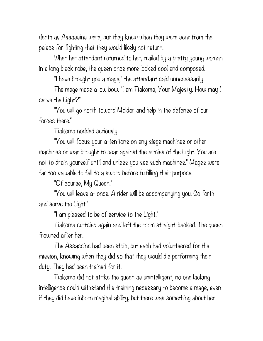death as Assassins were, but they knew when they were sent from the palace for fighting that they would likely not return.

When her attendant returned to her, trailed by a pretty young woman in a long black robe, the queen once more looked cool and composed.

"I have brought you a mage," the attendant said unnecessarily.

The mage made a low bow. "I am Tiakoma, Your Majesty. How may I serve the Light?"

"You will go north toward Maldor and help in the defense of our forces there."

Tiakoma nodded seriously.

"You will focus your attentions on any siege machines or other machines of war brought to bear against the armies of the Light. You are not to drain yourself until and unless you see such machines." Mages were far too valuable to fall to a sword before fulfilling their purpose.

"Of course, My Queen."

"You will leave at once. A rider will be accompanying you. Go forth and serve the Light."

"I am pleased to be of service to the Light."

Tiakoma curtsied again and left the room straight-backed. The queen frowned after her.

The Assassins had been stoic, but each had volunteered for the mission, knowing when they did so that they would die performing their duty. They had been trained for it.

Tiakoma did not strike the queen as unintelligent, no one lacking intelligence could withstand the training necessary to become a mage, even if they did have inborn magical ability, but there was something about her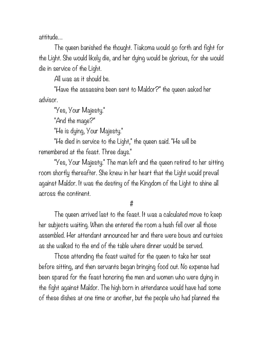attitude…

The queen banished the thought. Tiakoma would go forth and fight for the Light. She would likely die, and her dying would be glorious, for she would die in service of the Light.

All was as it should be.

"Have the assassins been sent to Maldor?" the queen asked her advisor.

"Yes, Your Majesty."

"And the mage?"

"He is dying, Your Majesty."

"He died in service to the Light," the queen said. "He will be remembered at the feast. Three days."

"Yes, Your Majesty." The man left and the queen retired to her sitting room shortly thereafter. She knew in her heart that the Light would prevail against Maldor. It was the destiny of the Kingdom of the Light to shine all across the continent.

#

The queen arrived last to the feast. It was a calculated move to keep her subjects waiting. When she entered the room a hush fell over all those assembled. Her attendant announced her and there were bows and curtsies as she walked to the end of the table where dinner would be served.

Those attending the feast waited for the queen to take her seat before sitting, and then servants began bringing food out. No expense had been spared for the feast honoring the men and women who were dying in the fight against Maldor. The high born in attendance would have had some of these dishes at one time or another, but the people who had planned the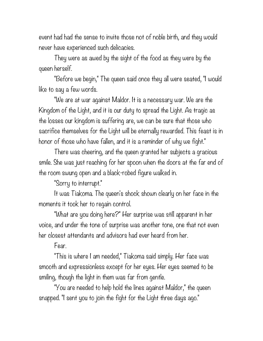event had had the sense to invite those not of noble birth, and they would never have experienced such delicacies.

They were as awed by the sight of the food as they were by the queen herself.

"Before we begin," The queen said once they all were seated, "I would like to say a few words.

"We are at war against Maldor. It is a necessary war. We are the Kingdom of the Light, and it is our duty to spread the Light. As tragic as the losses our kingdom is suffering are, we can be sure that those who sacrifice themselves for the Light will be eternally rewarded. This feast is in honor of those who have fallen, and it is a reminder of why we fight."

There was cheering, and the queen granted her subjects a gracious smile. She was just reaching for her spoon when the doors at the far end of the room swung open and a black-robed figure walked in.

"Sorry to interrupt."

It was Tiakoma. The queen's shock shown clearly on her face in the moments it took her to regain control.

"What are you doing here?" Her surprise was still apparent in her voice, and under the tone of surprise was another tone, one that not even her closest attendants and advisors had ever heard from her.

Fear.

"This is where I am needed," Tiakoma said simply. Her face was smooth and expressionless except for her eyes. Her eyes seemed to be smiling, though the light in them was far from gentle.

"You are needed to help hold the lines against Maldor," the queen snapped. "I sent you to join the fight for the Light three days ago."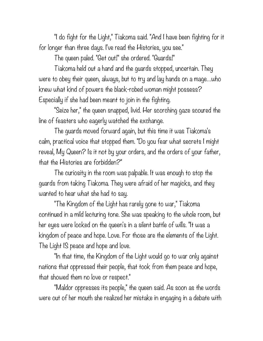"I do fight for the Light," Tiakoma said. "And I have been fighting for it for longer than three days. I've read the Histories, you see."

The queen paled. "Get out!" she ordered. "Guards!"

Tiakoma held out a hand and the guards stopped, uncertain. They were to obey their queen, always, but to try and lay hands on a mage…who knew what kind of powers the black-robed woman might possess? Especially if she had been meant to join in the fighting.

"Seize her," the queen snapped, livid. Her scorching gaze scoured the line of feasters who eagerly watched the exchange.

The guards moved forward again, but this time it was Tiakoma's calm, practical voice that stopped them. "Do you fear what secrets I might reveal, My Queen? Is it not by your orders, and the orders of your father, that the Histories are forbidden?"

The curiosity in the room was palpable. It was enough to stop the guards from taking Tiakoma. They were afraid of her magicks, and they wanted to hear what she had to say.

"The Kingdom of the Light has rarely gone to war," Tiakoma continued in a mild lecturing tone. She was speaking to the whole room, but her eyes were locked on the queen's in a silent battle of wills. "It was a kingdom of peace and hope. Love. For those are the elements of the Light. The Light IS peace and hope and love.

"In that time, the Kingdom of the Light would go to war only against nations that oppressed their people, that took from them peace and hope, that showed them no love or respect."

"Maldor oppresses its people," the queen said. As soon as the words were out of her mouth she realized her mistake in engaging in a debate with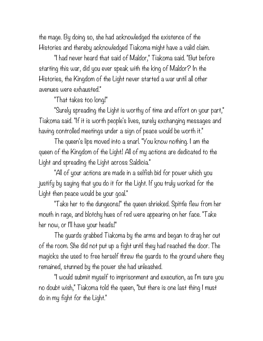the mage. By doing so, she had acknowledged the existence of the Histories and thereby acknowledged Tiakoma might have a valid claim.

"I had never heard that said of Maldor," Tiakoma said. "But before starting this war, did you ever speak with the king of Maldor? In the Histories, the Kingdom of the Light never started a war until all other avenues were exhausted."

"That takes too long!"

"Surely spreading the Light is worthy of time and effort on your part," Tiakoma said. "If it is worth people's lives, surely exchanging messages and having controlled meetings under a sign of peace would be worth it."

The queen's lips moved into a snarl. "You know nothing. I am the queen of the Kingdom of the Light! All of my actions are dedicated to the Light and spreading the Light across Saldicia."

"All of your actions are made in a selfish bid for power which you justify by saying that you do it for the Light. If you truly worked for the Light then peace would be your goal."

"Take her to the dungeons!" the queen shrieked. Spittle flew from her mouth in rage, and blotchy hues of red were appearing on her face. "Take her now, or I'll have your heads!"

The guards grabbed Tiakoma by the arms and began to drag her out of the room. She did not put up a fight until they had reached the door. The magicks she used to free herself threw the guards to the ground where they remained, stunned by the power she had unleashed.

"I would submit myself to imprisonment and execution, as I'm sure you no doubt wish," Tiakoma told the queen, "but there is one last thing I must do in my fight for the Light."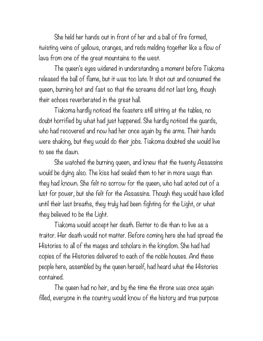She held her hands out in front of her and a ball of fire formed, twisting veins of yellows, oranges, and reds melding together like a flow of lava from one of the great mountains to the west.

The queen's eyes widened in understanding a moment before Tiakoma released the ball of flame, but it was too late. It shot out and consumed the queen, burning hot and fast so that the screams did not last long, though their echoes reverberated in the great hall.

Tiakoma hardly noticed the feasters still sitting at the tables, no doubt horrified by what had just happened. She hardly noticed the guards, who had recovered and now had her once again by the arms. Their hands were shaking, but they would do their jobs. Tiakoma doubted she would live to see the dawn.

She watched the burning queen, and knew that the twenty Assassins would be dying also. The kiss had sealed them to her in more ways than they had known. She felt no sorrow for the queen, who had acted out of a lust for power, but she felt for the Assassins. Though they would have killed until their last breaths, they truly had been fighting for the Light, or what they believed to be the Light.

Tiakoma would accept her death. Better to die than to live as a traitor. Her death would not matter. Before coming here she had spread the Histories to all of the mages and scholars in the kingdom. She had had copies of the Histories delivered to each of the noble houses. And these people here, assembled by the queen herself, had heard what the Histories contained.

The queen had no heir, and by the time the throne was once again filled, everyone in the country would know of the history and true purpose